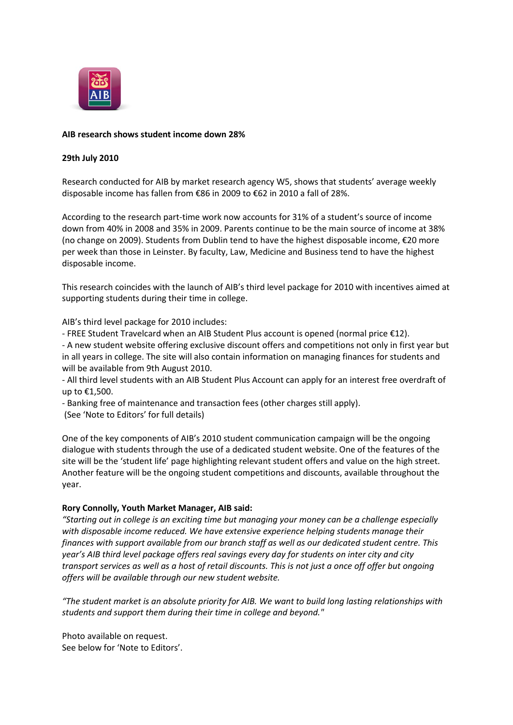

## **AIB research shows student income down 28%**

## **29th July 2010**

Research conducted for AIB by market research agency W5, shows that students' average weekly disposable income has fallen from €86 in 2009 to €62 in 2010 a fall of 28%.

According to the research part-time work now accounts for 31% of a student's source of income down from 40% in 2008 and 35% in 2009. Parents continue to be the main source of income at 38% (no change on 2009). Students from Dublin tend to have the highest disposable income, €20 more per week than those in Leinster. By faculty, Law, Medicine and Business tend to have the highest disposable income.

This research coincides with the launch of AIB's third level package for 2010 with incentives aimed at supporting students during their time in college.

AIB's third level package for 2010 includes:

- FREE Student Travelcard when an AIB Student Plus account is opened (normal price €12).

- A new student website offering exclusive discount offers and competitions not only in first year but in all years in college. The site will also contain information on managing finances for students and will be available from 9th August 2010.

- All third level students with an AIB Student Plus Account can apply for an interest free overdraft of up to €1,500.

- Banking free of maintenance and transaction fees (other charges still apply).

(See 'Note to Editors' for full details)

One of the key components of AIB's 2010 student communication campaign will be the ongoing dialogue with students through the use of a dedicated student website. One of the features of the site will be the 'student life' page highlighting relevant student offers and value on the high street. Another feature will be the ongoing student competitions and discounts, available throughout the year.

# **Rory Connolly, Youth Market Manager, AIB said:**

*"Starting out in college is an exciting time but managing your money can be a challenge especially with disposable income reduced. We have extensive experience helping students manage their finances with support available from our branch staff as well as our dedicated student centre. This year's AIB third level package offers real savings every day for students on inter city and city transport services as well as a host of retail discounts. This is not just a once off offer but ongoing offers will be available through our new student website.*

*"The student market is an absolute priority for AIB. We want to build long lasting relationships with students and support them during their time in college and beyond."*

Photo available on request. See below for 'Note to Editors'.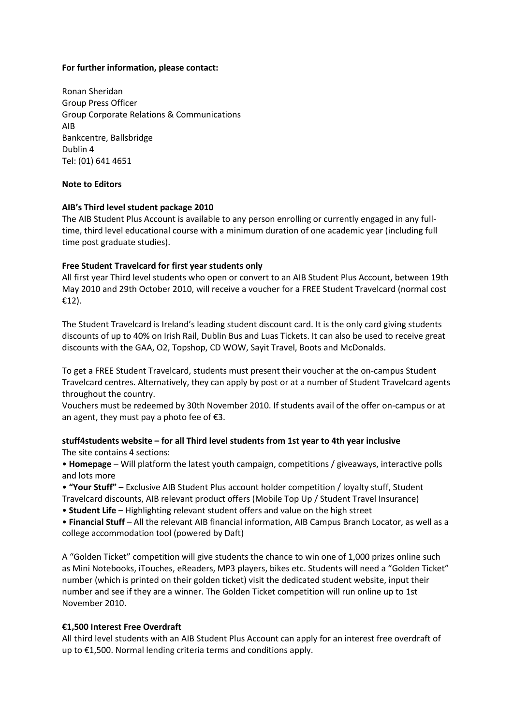## **For further information, please contact:**

Ronan Sheridan Group Press Officer Group Corporate Relations & Communications AIB Bankcentre, Ballsbridge Dublin 4 Tel: (01) 641 4651

#### **Note to Editors**

#### **AIB's Third level student package 2010**

The AIB Student Plus Account is available to any person enrolling or currently engaged in any fulltime, third level educational course with a minimum duration of one academic year (including full time post graduate studies).

#### **Free Student Travelcard for first year students only**

All first year Third level students who open or convert to an AIB Student Plus Account, between 19th May 2010 and 29th October 2010, will receive a voucher for a FREE Student Travelcard (normal cost €12).

The Student Travelcard is Ireland's leading student discount card. It is the only card giving students discounts of up to 40% on Irish Rail, Dublin Bus and Luas Tickets. It can also be used to receive great discounts with the GAA, O2, Topshop, CD WOW, Sayit Travel, Boots and McDonalds.

To get a FREE Student Travelcard, students must present their voucher at the on-campus Student Travelcard centres. Alternatively, they can apply by post or at a number of Student Travelcard agents throughout the country.

Vouchers must be redeemed by 30th November 2010. If students avail of the offer on-campus or at an agent, they must pay a photo fee of  $E$ 3.

## **stuff4students website – for all Third level students from 1st year to 4th year inclusive** The site contains 4 sections:

• **Homepage** – Will platform the latest youth campaign, competitions / giveaways, interactive polls and lots more

• **"Your Stuff"** – Exclusive AIB Student Plus account holder competition / loyalty stuff, Student

Travelcard discounts, AIB relevant product offers (Mobile Top Up / Student Travel Insurance)

• **Student Life** – Highlighting relevant student offers and value on the high street

• **Financial Stuff** – All the relevant AIB financial information, AIB Campus Branch Locator, as well as a college accommodation tool (powered by Daft)

A "Golden Ticket" competition will give students the chance to win one of 1,000 prizes online such as Mini Notebooks, iTouches, eReaders, MP3 players, bikes etc. Students will need a "Golden Ticket" number (which is printed on their golden ticket) visit the dedicated student website, input their number and see if they are a winner. The Golden Ticket competition will run online up to 1st November 2010.

## **€1,500 Interest Free Overdraft**

All third level students with an AIB Student Plus Account can apply for an interest free overdraft of up to €1,500. Normal lending criteria terms and conditions apply.